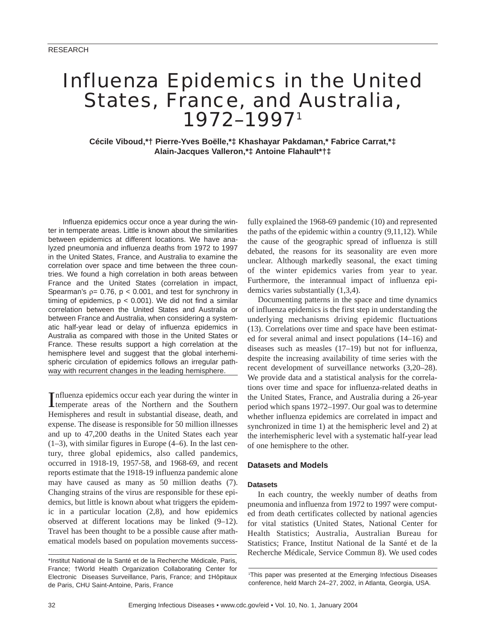# Influenza Epidemics in the United States, France, and Australia, 1972–19971

**Cécile Viboud,\*† Pierre-Yves Boëlle,\*‡ Khashayar Pakdaman,\* Fabrice Carrat,\*‡ Alain-Jacques Valleron,\*‡ Antoine Flahault\*†‡** 

Influenza epidemics occur once a year during the winter in temperate areas. Little is known about the similarities between epidemics at different locations. We have analyzed pneumonia and influenza deaths from 1972 to 1997 in the United States, France, and Australia to examine the correlation over space and time between the three countries. We found a high correlation in both areas between France and the United States (correlation in impact, Spearman's  $p = 0.76$ ,  $p < 0.001$ , and test for synchrony in timing of epidemics,  $p < 0.001$ ). We did not find a similar correlation between the United States and Australia or between France and Australia, when considering a systematic half-year lead or delay of influenza epidemics in Australia as compared with those in the United States or France. These results support a high correlation at the hemisphere level and suggest that the global interhemispheric circulation of epidemics follows an irregular pathway with recurrent changes in the leading hemisphere.

Influenza epidemics occur each year during the winter in<br>temperate areas of the Northern and the Southern nfluenza epidemics occur each year during the winter in Hemispheres and result in substantial disease, death, and expense. The disease is responsible for 50 million illnesses and up to 47,200 deaths in the United States each year (1–3), with similar figures in Europe (4–6). In the last century, three global epidemics, also called pandemics, occurred in 1918-19, 1957-58, and 1968-69, and recent reports estimate that the 1918-19 influenza pandemic alone may have caused as many as 50 million deaths (7). Changing strains of the virus are responsible for these epidemics, but little is known about what triggers the epidemic in a particular location (2,8), and how epidemics observed at different locations may be linked (9–12). Travel has been thought to be a possible cause after mathematical models based on population movements success-

fully explained the 1968-69 pandemic (10) and represented the paths of the epidemic within a country (9,11,12). While the cause of the geographic spread of influenza is still debated, the reasons for its seasonality are even more unclear. Although markedly seasonal, the exact timing of the winter epidemics varies from year to year. Furthermore, the interannual impact of influenza epidemics varies substantially (1,3,4).

Documenting patterns in the space and time dynamics of influenza epidemics is the first step in understanding the underlying mechanisms driving epidemic fluctuations (13). Correlations over time and space have been estimated for several animal and insect populations (14–16) and diseases such as measles (17–19) but not for influenza, despite the increasing availability of time series with the recent development of surveillance networks (3,20–28). We provide data and a statistical analysis for the correlations over time and space for influenza-related deaths in the United States, France, and Australia during a 26-year period which spans 1972–1997. Our goal was to determine whether influenza epidemics are correlated in impact and synchronized in time 1) at the hemispheric level and 2) at the interhemispheric level with a systematic half-year lead of one hemisphere to the other.

# **Datasets and Models**

#### **Datasets**

In each country, the weekly number of deaths from pneumonia and influenza from 1972 to 1997 were computed from death certificates collected by national agencies for vital statistics (United States, National Center for Health Statistics; Australia, Australian Bureau for Statistics; France, Institut National de la Santé et de la Recherche Médicale, Service Commun 8). We used codes

<sup>\*</sup>Institut National de la Santé et de la Recherche Médicale, Paris, France; †World Health Organization Collaborating Center for Electronic Diseases Surveillance, Paris, France; and ‡Hôpitaux de Paris, CHU Saint-Antoine, Paris, France

<sup>1</sup> This paper was presented at the Emerging Infectious Diseases conference, held March 24–27, 2002, in Atlanta, Georgia, USA.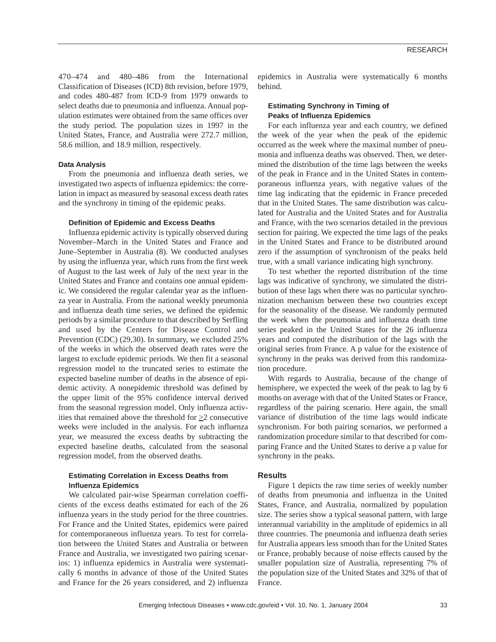470–474 and 480–486 from the International Classification of Diseases (ICD) 8th revision, before 1979, and codes 480-487 from ICD-9 from 1979 onwards to select deaths due to pneumonia and influenza. Annual population estimates were obtained from the same offices over the study period. The population sizes in 1997 in the United States, France, and Australia were 272.7 million, 58.6 million, and 18.9 million, respectively.

## **Data Analysis**

From the pneumonia and influenza death series, we investigated two aspects of influenza epidemics: the correlation in impact as measured by seasonal excess death rates and the synchrony in timing of the epidemic peaks.

#### **Definition of Epidemic and Excess Deaths**

Influenza epidemic activity is typically observed during November–March in the United States and France and June–September in Australia (8). We conducted analyses by using the influenza year, which runs from the first week of August to the last week of July of the next year in the United States and France and contains one annual epidemic. We considered the regular calendar year as the influenza year in Australia. From the national weekly pneumonia and influenza death time series, we defined the epidemic periods by a similar procedure to that described by Serfling and used by the Centers for Disease Control and Prevention (CDC) (29,30). In summary, we excluded 25% of the weeks in which the observed death rates were the largest to exclude epidemic periods. We then fit a seasonal regression model to the truncated series to estimate the expected baseline number of deaths in the absence of epidemic activity. A nonepidemic threshold was defined by the upper limit of the 95% confidence interval derived from the seasonal regression model. Only influenza activities that remained above the threshold for  $\geq 2$  consecutive weeks were included in the analysis. For each influenza year, we measured the excess deaths by subtracting the expected baseline deaths, calculated from the seasonal regression model, from the observed deaths.

# **Estimating Correlation in Excess Deaths from Influenza Epidemics**

We calculated pair-wise Spearman correlation coefficients of the excess deaths estimated for each of the 26 influenza years in the study period for the three countries. For France and the United States, epidemics were paired for contemporaneous influenza years. To test for correlation between the United States and Australia or between France and Australia, we investigated two pairing scenarios: 1) influenza epidemics in Australia were systematically 6 months in advance of those of the United States and France for the 26 years considered, and 2) influenza epidemics in Australia were systematically 6 months behind.

## **Estimating Synchrony in Timing of Peaks of Influenza Epidemics**

For each influenza year and each country, we defined the week of the year when the peak of the epidemic occurred as the week where the maximal number of pneumonia and influenza deaths was observed. Then, we determined the distribution of the time lags between the weeks of the peak in France and in the United States in contemporaneous influenza years, with negative values of the time lag indicating that the epidemic in France preceded that in the United States. The same distribution was calculated for Australia and the United States and for Australia and France, with the two scenarios detailed in the previous section for pairing. We expected the time lags of the peaks in the United States and France to be distributed around zero if the assumption of synchronism of the peaks held true, with a small variance indicating high synchrony.

To test whether the reported distribution of the time lags was indicative of synchrony, we simulated the distribution of these lags when there was no particular synchronization mechanism between these two countries except for the seasonality of the disease. We randomly permuted the week when the pneumonia and influenza death time series peaked in the United States for the 26 influenza years and computed the distribution of the lags with the original series from France. A p value for the existence of synchrony in the peaks was derived from this randomization procedure.

With regards to Australia, because of the change of hemisphere, we expected the week of the peak to lag by 6 months on average with that of the United States or France, regardless of the pairing scenario. Here again, the small variance of distribution of the time lags would indicate synchronism. For both pairing scenarios, we performed a randomization procedure similar to that described for comparing France and the United States to derive a p value for synchrony in the peaks.

## **Results**

Figure 1 depicts the raw time series of weekly number of deaths from pneumonia and influenza in the United States, France, and Australia, normalized by population size. The series show a typical seasonal pattern, with large interannual variability in the amplitude of epidemics in all three countries. The pneumonia and influenza death series for Australia appears less smooth than for the United States or France, probably because of noise effects caused by the smaller population size of Australia, representing 7% of the population size of the United States and 32% of that of France.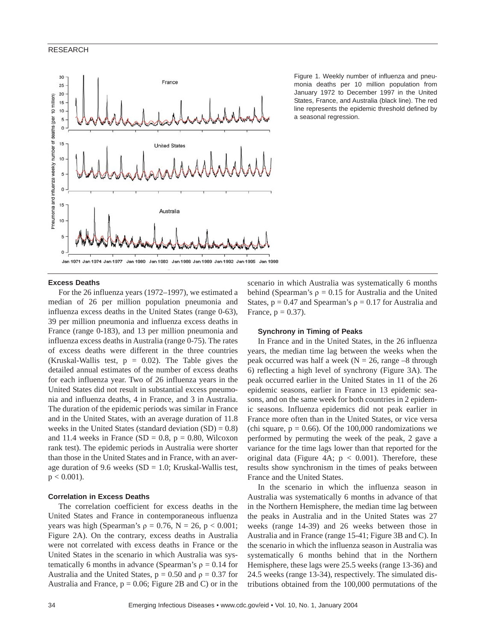## RESEARCH



Figure 1. Weekly number of influenza and pneumonia deaths per 10 million population from January 1972 to December 1997 in the United States, France, and Australia (black line). The red line represents the epidemic threshold defined by a seasonal regression.

#### **Excess Deaths**

For the 26 influenza years (1972–1997), we estimated a median of 26 per million population pneumonia and influenza excess deaths in the United States (range 0-63), 39 per million pneumonia and influenza excess deaths in France (range 0-183), and 13 per million pneumonia and influenza excess deaths in Australia (range 0-75). The rates of excess deaths were different in the three countries (Kruskal-Wallis test,  $p = 0.02$ ). The Table gives the detailed annual estimates of the number of excess deaths for each influenza year. Two of 26 influenza years in the United States did not result in substantial excess pneumonia and influenza deaths, 4 in France, and 3 in Australia. The duration of the epidemic periods was similar in France and in the United States, with an average duration of 11.8 weeks in the United States (standard deviation  $(SD) = 0.8$ ) and 11.4 weeks in France (SD = 0.8,  $p = 0.80$ , Wilcoxon rank test). The epidemic periods in Australia were shorter than those in the United States and in France, with an average duration of 9.6 weeks  $(SD = 1.0; Kruskal-Wallis test,$  $p < 0.001$ ).

#### **Correlation in Excess Deaths**

The correlation coefficient for excess deaths in the United States and France in contemporaneous influenza years was high (Spearman's ρ = 0.76, N = 26, p < 0.001; Figure 2A). On the contrary, excess deaths in Australia were not correlated with excess deaths in France or the United States in the scenario in which Australia was systematically 6 months in advance (Spearman's  $\rho = 0.14$  for Australia and the United States,  $p = 0.50$  and  $\rho = 0.37$  for Australia and France,  $p = 0.06$ ; Figure 2B and C) or in the

scenario in which Australia was systematically 6 months behind (Spearman's  $\rho = 0.15$  for Australia and the United States,  $p = 0.47$  and Spearman's  $\rho = 0.17$  for Australia and France,  $p = 0.37$ ).

#### **Synchrony in Timing of Peaks**

In France and in the United States, in the 26 influenza years, the median time lag between the weeks when the peak occurred was half a week ( $N = 26$ , range  $-8$  through 6) reflecting a high level of synchrony (Figure 3A). The peak occurred earlier in the United States in 11 of the 26 epidemic seasons, earlier in France in 13 epidemic seasons, and on the same week for both countries in 2 epidemic seasons. Influenza epidemics did not peak earlier in France more often than in the United States, or vice versa (chi square,  $p = 0.66$ ). Of the 100,000 randomizations we performed by permuting the week of the peak, 2 gave a variance for the time lags lower than that reported for the original data (Figure 4A;  $p < 0.001$ ). Therefore, these results show synchronism in the times of peaks between France and the United States.

In the scenario in which the influenza season in Australia was systematically 6 months in advance of that in the Northern Hemisphere, the median time lag between the peaks in Australia and in the United States was 27 weeks (range 14-39) and 26 weeks between those in Australia and in France (range 15-41; Figure 3B and C). In the scenario in which the influenza season in Australia was systematically 6 months behind that in the Northern Hemisphere, these lags were 25.5 weeks (range 13-36) and 24.5 weeks (range 13-34), respectively. The simulated distributions obtained from the 100,000 permutations of the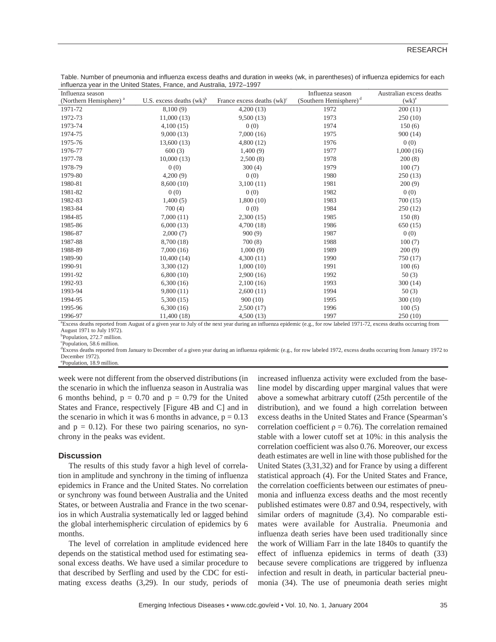Table. Number of pneumonia and influenza excess deaths and duration in weeks (wk, in parentheses) of influenza epidemics for each influenza year in the United States, France, and Australia, 1972–1997

| Influenza season                                                                                                                                                       |                             |                               | Influenza season                   | Australian excess deaths |
|------------------------------------------------------------------------------------------------------------------------------------------------------------------------|-----------------------------|-------------------------------|------------------------------------|--------------------------|
| (Northern Hemisphere) <sup>a</sup>                                                                                                                                     | U.S. excess deaths $(wk)^b$ | France excess deaths $(wk)^c$ | (Southern Hemisphere) <sup>d</sup> | $(wk)^e$                 |
| 1971-72                                                                                                                                                                | 8,100(9)                    | 4,200(13)                     | 1972                               | 200(11)                  |
| 1972-73                                                                                                                                                                | 11,000(13)                  | 9,500(13)                     | 1973                               | 250(10)                  |
| 1973-74                                                                                                                                                                | 4,100(15)                   | 0(0)                          | 1974                               | 150(6)                   |
| 1974-75                                                                                                                                                                | 9,000(13)                   | 7,000(16)                     | 1975                               | 900(14)                  |
| 1975-76                                                                                                                                                                | 13,600 (13)                 | 4,800(12)                     | 1976                               | 0(0)                     |
| 1976-77                                                                                                                                                                | 600(3)                      | 1,400(9)                      | 1977                               | 1,000(16)                |
| 1977-78                                                                                                                                                                | 10,000(13)                  | 2,500(8)                      | 1978                               | 200(8)                   |
| 1978-79                                                                                                                                                                | 0(0)                        | 300(4)                        | 1979                               | 100(7)                   |
| 1979-80                                                                                                                                                                | 4,200(9)                    | 0(0)                          | 1980                               | 250(13)                  |
| 1980-81                                                                                                                                                                | 8,600(10)                   | 3,100(11)                     | 1981                               | 200(9)                   |
| 1981-82                                                                                                                                                                | 0(0)                        | 0(0)                          | 1982                               | 0(0)                     |
| 1982-83                                                                                                                                                                | 1,400(5)                    | 1,800(10)                     | 1983                               | 700(15)                  |
| 1983-84                                                                                                                                                                | 700(4)                      | 0(0)                          | 1984                               | 250(12)                  |
| 1984-85                                                                                                                                                                | 7,000(11)                   | 2,300(15)                     | 1985                               | 150(8)                   |
| 1985-86                                                                                                                                                                | 6,000(13)                   | 4,700(18)                     | 1986                               | 650(15)                  |
| 1986-87                                                                                                                                                                | 2,000(7)                    | 900(9)                        | 1987                               | 0(0)                     |
| 1987-88                                                                                                                                                                | 8,700 (18)                  | 700(8)                        | 1988                               | 100(7)                   |
| 1988-89                                                                                                                                                                | 7,000(16)                   | 1,000(9)                      | 1989                               | 200(9)                   |
| 1989-90                                                                                                                                                                | 10,400(14)                  | 4,300(11)                     | 1990                               | 750 (17)                 |
| 1990-91                                                                                                                                                                | 3,300(12)                   | 1,000(10)                     | 1991                               | 100(6)                   |
| 1991-92                                                                                                                                                                | 6,800(10)                   | 2,900(16)                     | 1992                               | 50(3)                    |
| 1992-93                                                                                                                                                                | 6,300(16)                   | 2,100(16)                     | 1993                               | 300(14)                  |
| 1993-94                                                                                                                                                                | 9,800(11)                   | 2,600(11)                     | 1994                               | 50(3)                    |
| 1994-95                                                                                                                                                                | 5,300(15)                   | 900(10)                       | 1995                               | 300(10)                  |
| 1995-96                                                                                                                                                                | 6,300(16)                   | 2,500(17)                     | 1996                               | 100(5)                   |
| 1996-97                                                                                                                                                                | 11,400 (18)                 | 4,500(13)                     | 1997                               | 250(10)                  |
| "Excess deaths reported from August of a given year to July of the next year during an influenza epidemic (e.g., for row labeled 1971-72, excess deaths occurring from |                             |                               |                                    |                          |

August 1971 to July 1972).

b Population, 272.7 million.

c Population, 58.6 million.

<sup>d</sup>Excess deaths reported from January to December of a given year during an influenza epidemic (e.g., for row labeled 1972, excess deaths occurring from January 1972 to December 1972)

e Population, 18.9 million.

week were not different from the observed distributions (in the scenario in which the influenza season in Australia was 6 months behind,  $p = 0.70$  and  $p = 0.79$  for the United States and France, respectively [Figure 4B and C] and in the scenario in which it was 6 months in advance,  $p = 0.13$ and  $p = 0.12$ ). For these two pairing scenarios, no synchrony in the peaks was evident.

## **Discussion**

The results of this study favor a high level of correlation in amplitude and synchrony in the timing of influenza epidemics in France and the United States. No correlation or synchrony was found between Australia and the United States, or between Australia and France in the two scenarios in which Australia systematically led or lagged behind the global interhemispheric circulation of epidemics by 6 months.

The level of correlation in amplitude evidenced here depends on the statistical method used for estimating seasonal excess deaths. We have used a similar procedure to that described by Serfling and used by the CDC for estimating excess deaths (3,29). In our study, periods of increased influenza activity were excluded from the baseline model by discarding upper marginal values that were above a somewhat arbitrary cutoff (25th percentile of the distribution), and we found a high correlation between excess deaths in the United States and France (Spearman's correlation coefficient  $\rho = 0.76$ ). The correlation remained stable with a lower cutoff set at 10%: in this analysis the correlation coefficient was also 0.76. Moreover, our excess death estimates are well in line with those published for the United States (3,31,32) and for France by using a different statistical approach (4). For the United States and France, the correlation coefficients between our estimates of pneumonia and influenza excess deaths and the most recently published estimates were 0.87 and 0.94, respectively, with similar orders of magnitude (3,4). No comparable estimates were available for Australia. Pneumonia and influenza death series have been used traditionally since the work of William Farr in the late 1840s to quantify the effect of influenza epidemics in terms of death (33) because severe complications are triggered by influenza infection and result in death, in particular bacterial pneumonia (34). The use of pneumonia death series might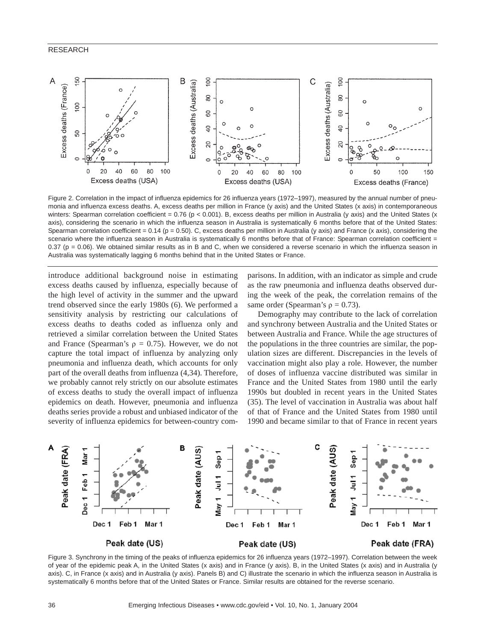## RESEARCH



Figure 2. Correlation in the impact of influenza epidemics for 26 influenza years (1972–1997), measured by the annual number of pneumonia and influenza excess deaths. A, excess deaths per million in France (y axis) and the United States (x axis) in contemporaneous winters: Spearman correlation coefficient = 0.76 ( $p < 0.001$ ). B, excess deaths per million in Australia (y axis) and the United States (x axis), considering the scenario in which the influenza season in Australia is systematically 6 months before that of the United States: Spearman correlation coefficient = 0.14 ( $p = 0.50$ ). C, excess deaths per million in Australia (y axis) and France (x axis), considering the scenario where the influenza season in Australia is systematically 6 months before that of France: Spearman correlation coefficient = 0.37 ( $p = 0.06$ ). We obtained similar results as in B and C, when we considered a reverse scenario in which the influenza season in Australia was systematically lagging 6 months behind that in the United States or France.

introduce additional background noise in estimating excess deaths caused by influenza, especially because of the high level of activity in the summer and the upward trend observed since the early 1980s (6). We performed a sensitivity analysis by restricting our calculations of excess deaths to deaths coded as influenza only and retrieved a similar correlation between the United States and France (Spearman's  $\rho = 0.75$ ). However, we do not capture the total impact of influenza by analyzing only pneumonia and influenza death, which accounts for only part of the overall deaths from influenza (4,34). Therefore, we probably cannot rely strictly on our absolute estimates of excess deaths to study the overall impact of influenza epidemics on death. However, pneumonia and influenza deaths series provide a robust and unbiased indicator of the severity of influenza epidemics for between-country com-

parisons. In addition, with an indicator as simple and crude as the raw pneumonia and influenza deaths observed during the week of the peak, the correlation remains of the same order (Spearman's  $\rho = 0.73$ ).

Demography may contribute to the lack of correlation and synchrony between Australia and the United States or between Australia and France. While the age structures of the populations in the three countries are similar, the population sizes are different. Discrepancies in the levels of vaccination might also play a role. However, the number of doses of influenza vaccine distributed was similar in France and the United States from 1980 until the early 1990s but doubled in recent years in the United States (35). The level of vaccination in Australia was about half of that of France and the United States from 1980 until 1990 and became similar to that of France in recent years



Figure 3. Synchrony in the timing of the peaks of influenza epidemics for 26 influenza years (1972–1997). Correlation between the week of year of the epidemic peak A, in the United States (x axis) and in France (y axis). B, in the United States (x axis) and in Australia (y axis). C, in France (x axis) and in Australia (y axis). Panels B) and C) illustrate the scenario in which the influenza season in Australia is systematically 6 months before that of the United States or France. Similar results are obtained for the reverse scenario.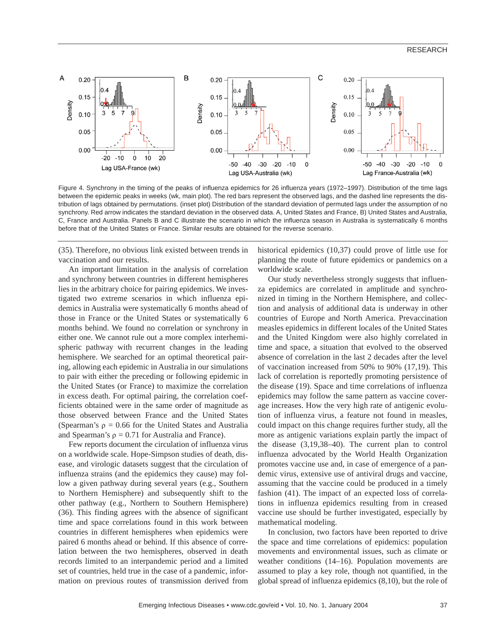

Figure 4. Synchrony in the timing of the peaks of influenza epidemics for 26 influenza years (1972–1997). Distribution of the time lags between the epidemic peaks in weeks (wk, main plot). The red bars represent the observed lags, and the dashed line represents the distribution of lags obtained by permutations. (inset plot) Distribution of the standard deviation of permuted lags under the assumption of no synchrony. Red arrow indicates the standard deviation in the observed data. A, United States and France, B) United States and Australia, C, France and Australia. Panels B and C illustrate the scenario in which the influenza season in Australia is systematically 6 months before that of the United States or France. Similar results are obtained for the reverse scenario.

(35). Therefore, no obvious link existed between trends in vaccination and our results.

An important limitation in the analysis of correlation and synchrony between countries in different hemispheres lies in the arbitrary choice for pairing epidemics. We investigated two extreme scenarios in which influenza epidemics in Australia were systematically 6 months ahead of those in France or the United States or systematically 6 months behind. We found no correlation or synchrony in either one. We cannot rule out a more complex interhemispheric pathway with recurrent changes in the leading hemisphere. We searched for an optimal theoretical pairing, allowing each epidemic in Australia in our simulations to pair with either the preceding or following epidemic in the United States (or France) to maximize the correlation in excess death. For optimal pairing, the correlation coefficients obtained were in the same order of magnitude as those observed between France and the United States (Spearman's  $\rho = 0.66$  for the United States and Australia and Spearman's  $ρ = 0.71$  for Australia and France).

Few reports document the circulation of influenza virus on a worldwide scale. Hope-Simpson studies of death, disease, and virologic datasets suggest that the circulation of influenza strains (and the epidemics they cause) may follow a given pathway during several years (e.g., Southern to Northern Hemisphere) and subsequently shift to the other pathway (e.g., Northern to Southern Hemisphere) (36). This finding agrees with the absence of significant time and space correlations found in this work between countries in different hemispheres when epidemics were paired 6 months ahead or behind. If this absence of correlation between the two hemispheres, observed in death records limited to an interpandemic period and a limited set of countries, held true in the case of a pandemic, information on previous routes of transmission derived from historical epidemics (10,37) could prove of little use for planning the route of future epidemics or pandemics on a worldwide scale.

Our study nevertheless strongly suggests that influenza epidemics are correlated in amplitude and synchronized in timing in the Northern Hemisphere, and collection and analysis of additional data is underway in other countries of Europe and North America. Prevaccination measles epidemics in different locales of the United States and the United Kingdom were also highly correlated in time and space, a situation that evolved to the observed absence of correlation in the last 2 decades after the level of vaccination increased from 50% to 90% (17,19). This lack of correlation is reportedly promoting persistence of the disease (19). Space and time correlations of influenza epidemics may follow the same pattern as vaccine coverage increases. How the very high rate of antigenic evolution of influenza virus, a feature not found in measles, could impact on this change requires further study, all the more as antigenic variations explain partly the impact of the disease (3,19,38–40). The current plan to control influenza advocated by the World Health Organization promotes vaccine use and, in case of emergence of a pandemic virus, extensive use of antiviral drugs and vaccine, assuming that the vaccine could be produced in a timely fashion (41). The impact of an expected loss of correlations in influenza epidemics resulting from in creased vaccine use should be further investigated, especially by mathematical modeling.

In conclusion, two factors have been reported to drive the space and time correlations of epidemics: population movements and environmental issues, such as climate or weather conditions (14–16). Population movements are assumed to play a key role, though not quantified, in the global spread of influenza epidemics (8,10), but the role of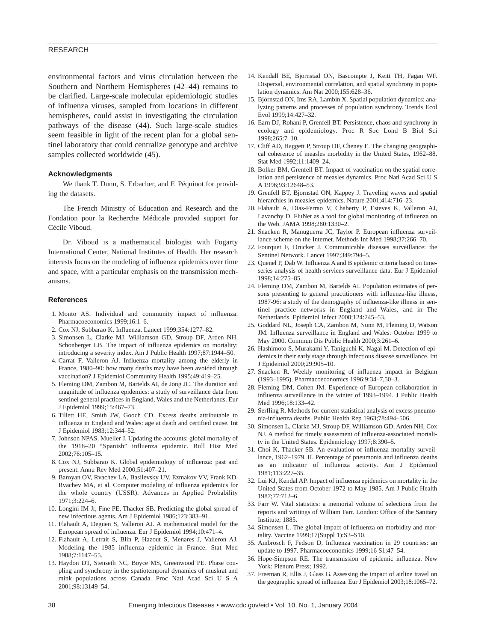#### RESEARCH

environmental factors and virus circulation between the Southern and Northern Hemispheres (42–44) remains to be clarified. Large-scale molecular epidemiologic studies of influenza viruses, sampled from locations in different hemispheres, could assist in investigating the circulation pathways of the disease (44). Such large-scale studies seem feasible in light of the recent plan for a global sentinel laboratory that could centralize genotype and archive samples collected worldwide (45).

#### **Acknowledgments**

We thank T. Dunn, S. Erbacher, and F. Péquinot for providing the datasets.

The French Ministry of Education and Research and the Fondation pour la Recherche Médicale provided support for Cécile Viboud.

Dr. Viboud is a mathematical biologist with Fogarty International Center, National Institutes of Health. Her research interests focus on the modeling of influenza epidemics over time and space, with a particular emphasis on the transmission mechanisms.

#### **References**

- 1. Monto AS. Individual and community impact of influenza. Pharmacoeconomics 1999;16:1–6.
- 2. Cox NJ, Subbarao K. Influenza. Lancet 1999;354:1277–82.
- 3. Simonsen L, Clarke MJ, Williamson GD, Stroup DF, Arden NH, Schonberger LB. The impact of influenza epidemics on mortality: introducing a severity index. Am J Public Health 1997;87:1944–50.
- 4. Carrat F, Valleron AJ. Influenza mortality among the elderly in France, 1980–90: how many deaths may have been avoided through vaccination? J Epidemiol Community Health 1995;49:419–25.
- 5. Fleming DM, Zambon M, Bartelds AI, de Jong JC. The duration and magnitude of influenza epidemics: a study of surveillance data from sentinel general practices in England, Wales and the Netherlands. Eur J Epidemiol 1999;15:467–73.
- 6. Tillett HE, Smith JW, Gooch CD. Excess deaths attributable to influenza in England and Wales: age at death and certified cause. Int J Epidemiol 1983;12:344–52.
- 7. Johnson NPAS, Mueller J. Updating the accounts: global mortality of the 1918–20 "Spanish" influenza epidemic. Bull Hist Med 2002;76:105–15.
- 8. Cox NJ, Subbarao K. Global epidemiology of influenza: past and present. Annu Rev Med 2000;51:407–21.
- 9. Baroyan OV, Rvachev LA, Basilevsky UV, Ezmakov VV, Frank KD, Rvachev MA, et al. Computer modeling of influenza epidemics for the whole country (USSR). Advances in Applied Probability 1971;3:224–6.
- 10. Longini IM Jr, Fine PE, Thacker SB. Predicting the global spread of new infectious agents. Am J Epidemiol 1986;123:383–91.
- 11. Flahault A, Deguen S, Valleron AJ. A mathematical model for the European spread of influenza. Eur J Epidemiol 1994;10:471–4.
- 12. Flahault A, Letrait S, Blin P, Hazout S, Menares J, Valleron AJ. Modeling the 1985 influenza epidemic in France. Stat Med 1988;7:1147–55.
- 13. Haydon DT, Stenseth NC, Boyce MS, Greenwood PE. Phase coupling and synchrony in the spatiotemporal dynamics of muskrat and mink populations across Canada. Proc Natl Acad Sci U S A 2001;98:13149–54.
- 14. Kendall BE, Bjornstad ON, Bascompte J, Keitt TH, Fagan WF. Dispersal, environmental correlation, and spatial synchrony in population dynamics. Am Nat 2000;155:628–36.
- 15. Björnstad ON, Ims RA, Lambin X. Spatial population dynamics: analyzing patterns and processes of population synchrony. Trends Ecol Evol 1999;14:427–32.
- 16. Earn DJ, Rohani P, Grenfell BT. Persistence, chaos and synchrony in ecology and epidemiology. Proc R Soc Lond B Biol Sci 1998;265:7–10.
- 17. Cliff AD, Haggett P, Stroup DF, Cheney E. The changing geographical coherence of measles morbidity in the United States, 1962–88. Stat Med 1992;11:1409–24.
- 18. Bolker BM, Grenfell BT. Impact of vaccination on the spatial correlation and persistence of measles dynamics. Proc Natl Acad Sci U S A 1996;93:12648–53.
- 19. Grenfell BT, Bjornstad ON, Kappey J. Traveling waves and spatial hierarchies in measles epidemics. Nature 2001;414:716-23.
- 20. Flahault A, Dias-Ferrao V, Chaberty P, Esteves K, Valleron AJ, Lavanchy D. FluNet as a tool for global monitoring of influenza on the Web. JAMA 1998;280:1330–2.
- 21. Snacken R, Manuguerra JC, Taylor P. European influenza surveillance scheme on the Internet. Methods Inf Med 1998;37:266–70.
- 22. Fourquet F, Drucker J. Communicable diseases surveillance: the Sentinel Network. Lancet 1997;349:794–5.
- 23. Quenel P, Dab W. Influenza A and B epidemic criteria based on timeseries analysis of health services surveillance data. Eur J Epidemiol 1998;14:275–85.
- 24. Fleming DM, Zambon M, Bartelds AI. Population estimates of persons presenting to general practitioners with influenza-like illness, 1987-96: a study of the demography of influenza-like illness in sentinel practice networks in England and Wales, and in The Netherlands. Epidemiol Infect 2000;124:245–53.
- 25. Goddard NL, Joseph CA, Zambon M, Nunn M, Fleming D, Watson JM. Influenza surveillance in England and Wales: October 1999 to May 2000. Commun Dis Public Health 2000;3:261–6.
- 26. Hashimoto S, Murakami Y, Taniguchi K, Nagai M. Detection of epidemics in their early stage through infectious disease surveillance. Int J Epidemiol 2000;29:905–10.
- 27. Snacken R. Weekly monitoring of influenza impact in Belgium (1993–1995). Pharmacoeconomics 1996;9:34–7,50–3.
- 28. Fleming DM, Cohen JM. Experience of European collaboration in influenza surveillance in the winter of 1993–1994. J Public Health Med 1996;18:133–42.
- 29. Serfling R. Methods for current statistical analysis of excess pneumonia-influenza deaths. Public Health Rep 1963;78:494–506.
- 30. Simonsen L, Clarke MJ, Stroup DF, Williamson GD, Arden NH, Cox NJ. A method for timely assessment of influenza-associated mortality in the United States. Epidemiology 1997;8:390–5.
- 31. Choi K, Thacker SB. An evaluation of influenza mortality surveillance, 1962–1979. II. Percentage of pneumonia and influenza deaths as an indicator of influenza activity. Am J Epidemiol 1981;113:227–35.
- 32. Lui KJ, Kendal AP. Impact of influenza epidemics on mortality in the United States from October 1972 to May 1985. Am J Public Health 1987;77:712–6.
- 33. Farr W. Vital statistics: a memorial volume of selections from the reports and writings of William Farr. London: Office of the Sanitary Institute; 1885.
- 34. Simonsen L. The global impact of influenza on morbidity and mortality. Vaccine 1999;17(Suppl 1):S3–S10.
- 35. Ambrosch F, Fedson D. Influenza vaccination in 29 countries: an update to 1997. Pharmacoeconomics 1999;16 S1:47–54.
- 36. Hope-Simpson RE. The transmission of epidemic influenza. New York: Plenum Press; 1992.
- 37. Freeman R, Ellis J, Glass G. Assessing the impact of airline travel on the geographic spread of influenza. Eur J Epidemiol 2003;18:1065–72.